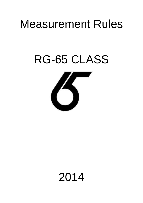# Measurement Rules

# RG-65 CLASS



# 2014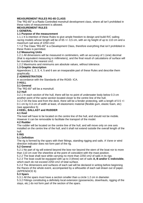# **MEASUREMENT RULES RG-65 CLASS**

The "RG-65″ is a Radio Controlled monohull development class, where all isn't prohibited in these rules of measurement is allowed.

# **MEASUREMENT RULES**

# **1 GENERAL**

# **1.1 Purpose of the measurement**

1.1.1 It is intention of these Rules to give ample freedom to design and build R/C sailing racing models whose length will be of 65 +/- 0,5 cm, with an rig height of up to 110 cm and a maximum sail area of 2250 cm2.

1.1.2 The Class "RG-65″ is a Development Class, therefore everything that isn't prohibited in these Rules is permitted.

# **1.2 Measuring Units**

1.2.1 All dimensions will be measured in centimeters, with an accuracy of 1 (one) decimal (that is equivalent measuring in millimeters), and the final result of calculations of surface will be rounded to the nearest cm2.

1.2.2 Maximums and minimums are absolute values, without tolerance.

# **1.3 Graphic description**

Appendices 1, 2, 3, 4, 5 and 6 are an inseparable part of these Rules and describe them graphically.

# **2 ADMINISTRATION**

In accordance with the Standards of the RG65- ICA.

#### **3 HULL**

# **3.1 General**

The "RG-65″ will be a monohull.

#### **3.2 Hull**

3.2.1 In each section of the hull, there will be no point of underwater body below 0.3 cm another point of the same section located closer to the centre line of the hull.

3.2.2 On the bow and from the deck, there will be a fender protecting, with a length of 0.5 +/- 0.1 cm by 0.3 cm of width at least, of elastomeric material (flexible gum, elastic foam, etc) (see appendice 5)

# **4 KEEL, BALLAST and RUDDER**

# **4.1 Keel**

The keel will have to be located on the centre line of the hull, and should not be mobile. However it can be removable to facilitate the transport of the model.

# **4.2 Rudder**

The rudder will be located on the centre line of the hull, and will move only on one axis installed on the centre line of the hull, and it shall not extend outside the overall length of the hull.

#### **5 RIG**

# **5.1 Definition**

The rig is formed by the spars with their fittings, standing rigging and sails. A Vane or wind direction indicator does not form part of the rig.

# **5.2 General**

5.2.1 No part of rig will extend beyond the bow nor beyond the stern of the boat nor to more than 110 cm over the sheerline at the point of coincident with the mast position.

5.2.2 The boat shall race while carrying no more than 2250 cm2 of sails in its rigs.

5.2.3 The boat could be equipped with up to 3 (three) set of sails **A, B and/or C indivisible**, which each do not exceed 2250 cm2 of total surface.

5.2.4 The dimensions and surfaces of each sail will be declared in writing before beginning the Races of the whole event, accompanied by a silhouette of each sail drawn out of paper. (APPENDICE 6)

# **5.3 Spars**

5.3.1 All the spars must have a section smaller than a circle 1.2 cm in diameter.

5.3.2 Fittings constituting a definitely local extension (goosenecks, downhauls, rigging of the stays, etc.) do not form part of the section of the spars.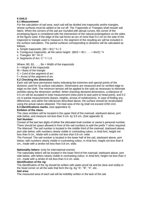# **6 SAILS**

# **6.1 Measurement**

For the calculation of sail area, each sail will be divided into trapezoids and/or triangles, whose surfaces must be added or be cut off. The Trapezoids or Triangles shall include sail fabric. When the corners of the sail are rounded with abrupt curves, the corner of the enveloping figure is considered with the intersection of the natural prolongations on the sides of the figure used. If the edge of the sail forms an arc of more than 0.2 cm on the side of the trapezoid or triangle used to measure it, the segment of the resulting arc will be included in the surface calculation. The partial surfaces corresponding to divisions will be calculated as follows:

- a. Simple trapezoids:  $(B0 + B1) * h / 2$
- b. Contiguous trapezoids, all the same height:: (B0/2 + B1+ . . . + Bn/2) \* h
- c. Triangles: Bt \* Ht /2
- d. Segments of Arc: C \* f / 1.5

Where: B0, B1,  $\dots$ , Bn = Width of the trapezoids

 $h =$  Height of the trapezoids

 $Bt = Base of the triangle$ 

 $C =$  Cord of the segment of arc

 $f =$  Arrow of the segment of arc

# **6.2 Checking the dimensions**

Each sail will have permanent marks indicating the extremes and special points of the divisions used for its surface calculation. Dimensions are measured and /or verified edge to edge on the cloth. The minimum tension will be applied to the sails as necessary to eliminate wrinkles along the dimension verified. When checking declared dimensions, a tolerance of 0.5 cm will be accepted in total measurement (clew point to tack point to head point), and 0.2 cm in partial measurements (bases, heights, arrows of subdivisions). In case of finding any differences, and within the tolerances described above, the surface should be recalculated using the actual values obtained. The total area of the rig shall not exceed 2250 cm2. **6.3 Identifications marks.** (see appendice 4)

# **Emblem of the class:**

The class emblem will be located in the upper third of the mainsail, starboard above, port side below, and measure not less than 3 cm. by 3.5 cm. (See appendix 3)

# **Sail Number:**

Consist of the last two digits of either the allocated boat number or owner's personal number. There should be space allowed in front of the sail numbers to add the prefix 'I' when required. *The Mainsail*: The sail number is located in the middle third of the mainsail, starboard above, port side below, with numbers clearly visible in contrasting colour, in Arial font, height not less than 8 cm., Made with a stroke not less than 0.8 cm. wide.

*The Foresail*: The sail number is located in the lower half of the sail, starboard above, port below, with numbers clearly visible in contrasting colour, in Arial font, height not less than 8 cm., made with a stroke not less than 0.8 cm. wide.

# **Nationality letters:** (only for international events)

The nationality letters will be located in the lower third of the mainsail, starboard above, port side below, with letters clearly visible in contrasting colour, in Arial font, height not less than 4 cm., made with a stroke of not less than 0.4 cm. wide.

# **Identification of the rig:**

The identification of the rig should be written with water-proof ink and be clear and visibly in the head corner on all the sails that form the rig. Eg "A", "B", "X", etc..

#### **Sail area:**

The measured area of each sail will be indelibly written in the tack of the sail.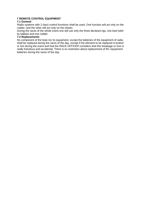# **7 REMOTE CONTROL EQUIPMENT**

# **7.1 General**

Radio systems with 2 (two) control functions shall be used. One function will act only on the rudder, and the other will act only on the sheets.

During the races of the whole event one will use only the three declared rigs, one keel (with its ballast) and one rudder.

# **7.2 Replacements**

No component of the boat nor its equipment, except the batteries of the equipment of radio, shall be replaced during the races of the day, except if the element to be replaced is broken or lost during the event and that the RACE OFFICER considers that this breakage or loss is really fortuitous and accidental. There is no restriction about replacement of RC equipment batteries during the races of the day.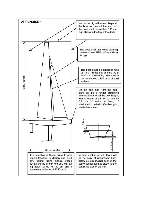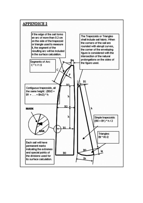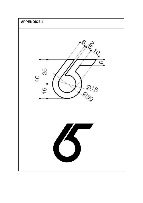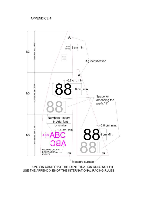# **APPENDICE 4**



ONLY IN CASE THAT THE IDENTIFICATION DOES NOT FIT USE THE APPENDIX E6 OF THE INTERNATIONAL RACING RULES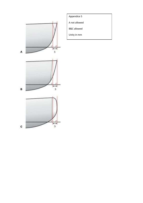

Appendice 5

A not allowed

B&C allowed

Unity in mm